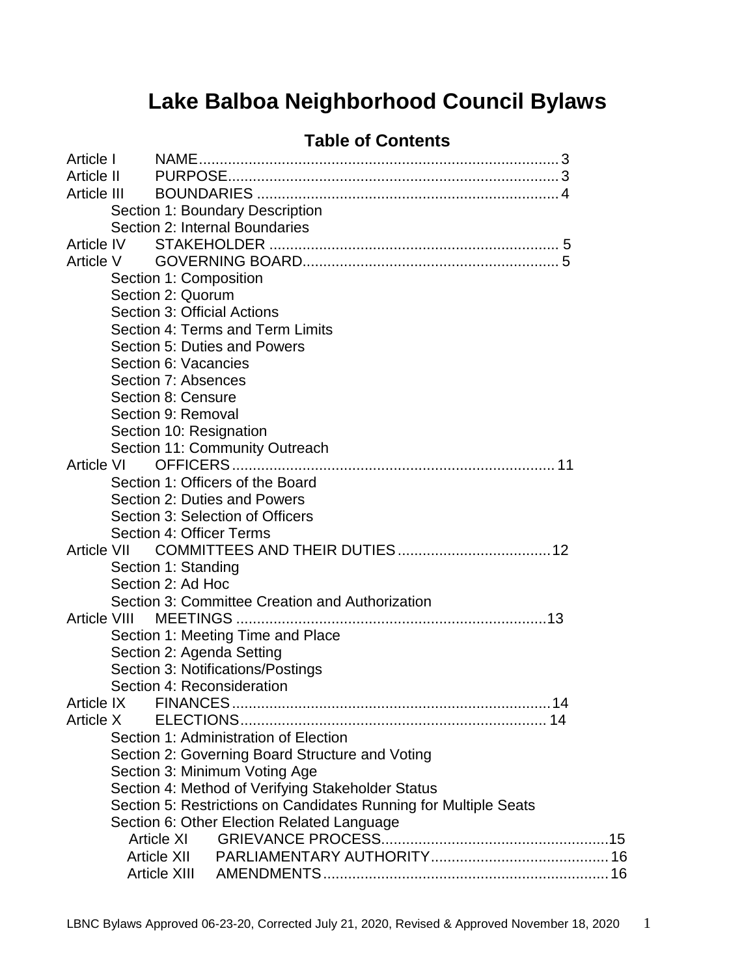# **Lake Balboa Neighborhood Council Bylaws**

## **Table of Contents**

| Article I         |                        |                              |                                                                  |  |  |  |  |  |
|-------------------|------------------------|------------------------------|------------------------------------------------------------------|--|--|--|--|--|
| Article II        |                        |                              |                                                                  |  |  |  |  |  |
| Article III       |                        |                              |                                                                  |  |  |  |  |  |
|                   |                        |                              | Section 1: Boundary Description                                  |  |  |  |  |  |
|                   |                        |                              | Section 2: Internal Boundaries                                   |  |  |  |  |  |
| Article IV        |                        |                              |                                                                  |  |  |  |  |  |
| Article V         |                        |                              |                                                                  |  |  |  |  |  |
|                   | Section 1: Composition |                              |                                                                  |  |  |  |  |  |
|                   | Section 2: Quorum      |                              |                                                                  |  |  |  |  |  |
|                   |                        |                              | Section 3: Official Actions                                      |  |  |  |  |  |
|                   |                        |                              | Section 4: Terms and Term Limits                                 |  |  |  |  |  |
|                   |                        | Section 5: Duties and Powers |                                                                  |  |  |  |  |  |
|                   |                        | Section 6: Vacancies         |                                                                  |  |  |  |  |  |
|                   |                        | Section 7: Absences          |                                                                  |  |  |  |  |  |
|                   |                        | Section 8: Censure           |                                                                  |  |  |  |  |  |
|                   |                        | Section 9: Removal           |                                                                  |  |  |  |  |  |
|                   |                        |                              | Section 10: Resignation                                          |  |  |  |  |  |
|                   |                        |                              | Section 11: Community Outreach                                   |  |  |  |  |  |
| <b>Article VI</b> |                        |                              |                                                                  |  |  |  |  |  |
|                   |                        |                              | Section 1: Officers of the Board                                 |  |  |  |  |  |
|                   |                        |                              | Section 2: Duties and Powers                                     |  |  |  |  |  |
|                   |                        |                              | Section 3: Selection of Officers                                 |  |  |  |  |  |
|                   |                        |                              | Section 4: Officer Terms                                         |  |  |  |  |  |
|                   | Article VII            |                              |                                                                  |  |  |  |  |  |
|                   |                        | Section 1: Standing          |                                                                  |  |  |  |  |  |
|                   |                        | Section 2: Ad Hoc            |                                                                  |  |  |  |  |  |
|                   |                        |                              | Section 3: Committee Creation and Authorization                  |  |  |  |  |  |
|                   |                        |                              |                                                                  |  |  |  |  |  |
|                   |                        |                              | Section 1: Meeting Time and Place                                |  |  |  |  |  |
|                   |                        |                              | Section 2: Agenda Setting                                        |  |  |  |  |  |
|                   |                        |                              | Section 3: Notifications/Postings                                |  |  |  |  |  |
|                   |                        |                              | Section 4: Reconsideration                                       |  |  |  |  |  |
| Article IX        |                        |                              |                                                                  |  |  |  |  |  |
| Article X         |                        |                              |                                                                  |  |  |  |  |  |
|                   |                        |                              | Section 1: Administration of Election                            |  |  |  |  |  |
|                   |                        |                              | Section 2: Governing Board Structure and Voting                  |  |  |  |  |  |
|                   |                        |                              | Section 3: Minimum Voting Age                                    |  |  |  |  |  |
|                   |                        |                              | Section 4: Method of Verifying Stakeholder Status                |  |  |  |  |  |
|                   |                        |                              | Section 5: Restrictions on Candidates Running for Multiple Seats |  |  |  |  |  |
|                   |                        |                              | Section 6: Other Election Related Language                       |  |  |  |  |  |
|                   |                        | Article XI                   |                                                                  |  |  |  |  |  |
|                   |                        | <b>Article XII</b>           |                                                                  |  |  |  |  |  |
|                   |                        | Article XIII                 |                                                                  |  |  |  |  |  |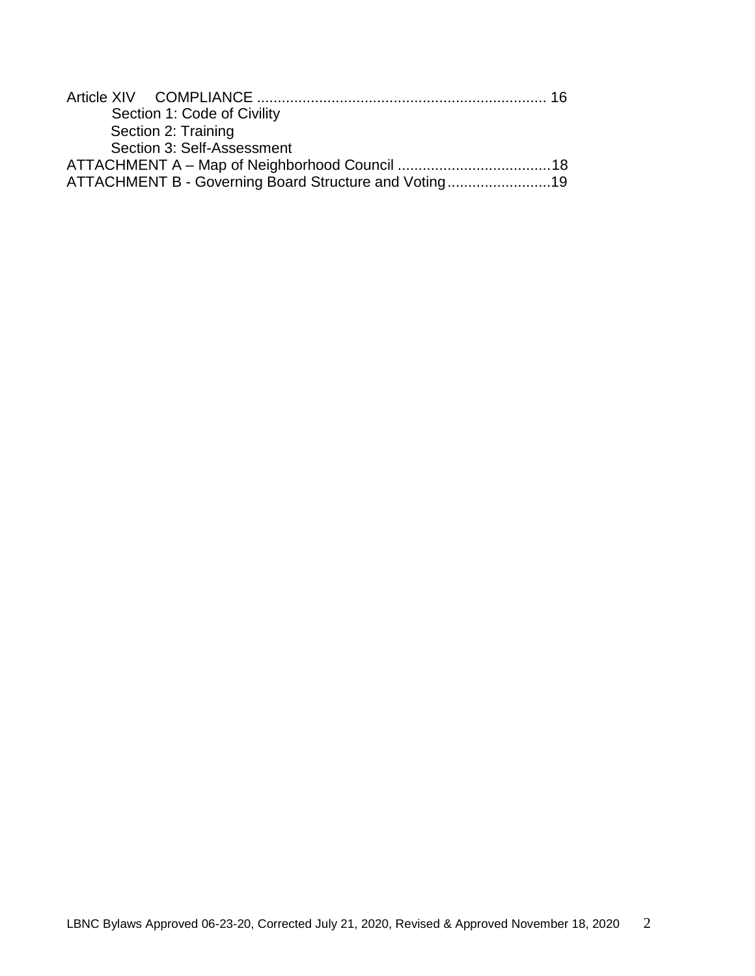|  | Section 1: Code of Civility                           |  |
|--|-------------------------------------------------------|--|
|  | Section 2: Training                                   |  |
|  | Section 3: Self-Assessment                            |  |
|  |                                                       |  |
|  | ATTACHMENT B - Governing Board Structure and Voting19 |  |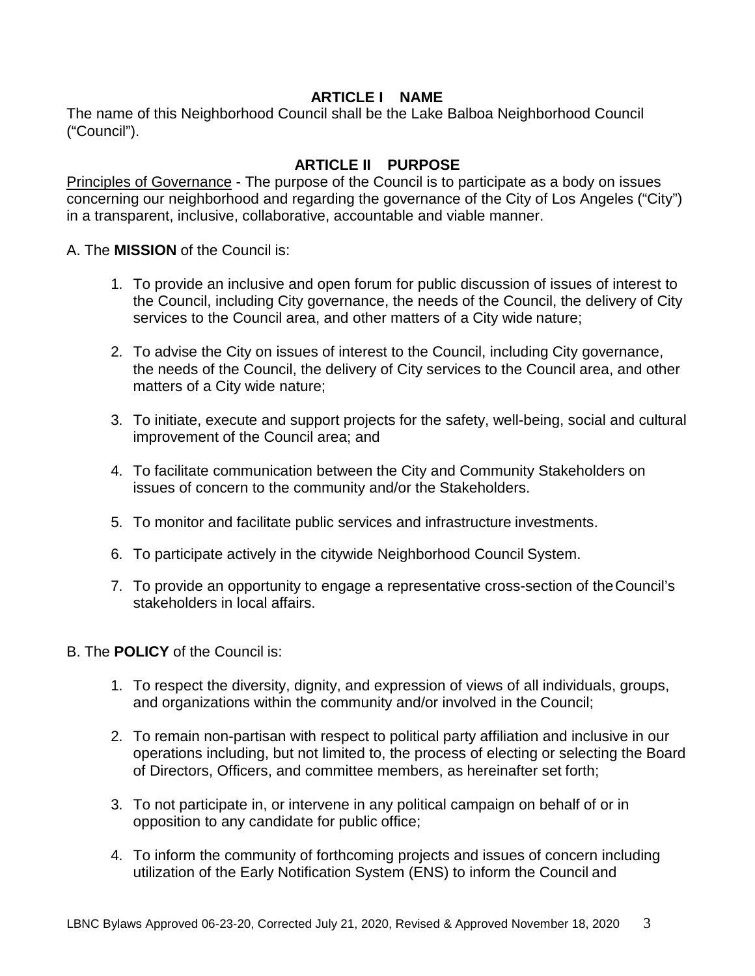#### **ARTICLE I NAME**

<span id="page-2-0"></span>The name of this Neighborhood Council shall be the Lake Balboa Neighborhood Council ("Council").

## **ARTICLE II PURPOSE**

<span id="page-2-1"></span>Principles of Governance - The purpose of the Council is to participate as a body on issues concerning our neighborhood and regarding the governance of the City of Los Angeles ("City") in a transparent, inclusive, collaborative, accountable and viable manner.

A. The **MISSION** of the Council is:

- 1. To provide an inclusive and open forum for public discussion of issues of interest to the Council, including City governance, the needs of the Council, the delivery of City services to the Council area, and other matters of a City wide nature;
- 2. To advise the City on issues of interest to the Council, including City governance, the needs of the Council, the delivery of City services to the Council area, and other matters of a City wide nature;
- 3. To initiate, execute and support projects for the safety, well-being, social and cultural improvement of the Council area; and
- 4. To facilitate communication between the City and Community Stakeholders on issues of concern to the community and/or the Stakeholders.
- 5. To monitor and facilitate public services and infrastructure investments.
- 6. To participate actively in the citywide Neighborhood Council System.
- 7. To provide an opportunity to engage a representative cross-section of theCouncil's stakeholders in local affairs.
- B. The **POLICY** of the Council is:
	- 1. To respect the diversity, dignity, and expression of views of all individuals, groups, and organizations within the community and/or involved in the Council;
	- 2. To remain non-partisan with respect to political party affiliation and inclusive in our operations including, but not limited to, the process of electing or selecting the Board of Directors, Officers, and committee members, as hereinafter set forth;
	- 3. To not participate in, or intervene in any political campaign on behalf of or in opposition to any candidate for public office;
	- 4. To inform the community of forthcoming projects and issues of concern including utilization of the Early Notification System (ENS) to inform the Council and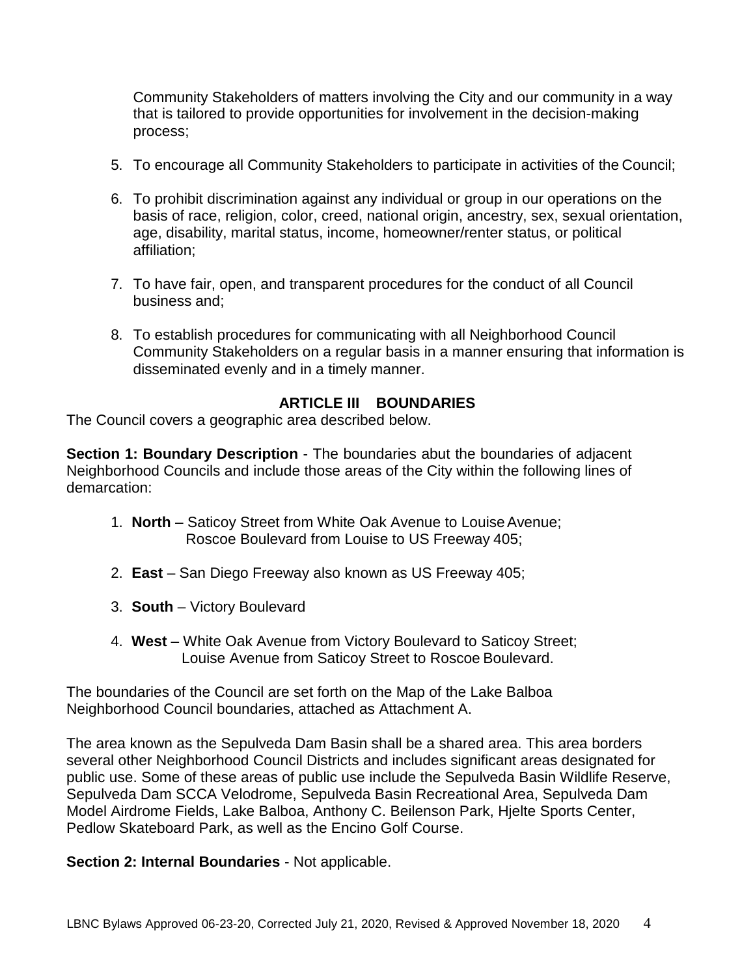Community Stakeholders of matters involving the City and our community in a way that is tailored to provide opportunities for involvement in the decision-making process;

- 5. To encourage all Community Stakeholders to participate in activities of the Council;
- 6. To prohibit discrimination against any individual or group in our operations on the basis of race, religion, color, creed, national origin, ancestry, sex, sexual orientation, age, disability, marital status, income, homeowner/renter status, or political affiliation;
- 7. To have fair, open, and transparent procedures for the conduct of all Council business and;
- 8. To establish procedures for communicating with all Neighborhood Council Community Stakeholders on a regular basis in a manner ensuring that information is disseminated evenly and in a timely manner.

### **ARTICLE III BOUNDARIES**

<span id="page-3-0"></span>The Council covers a geographic area described below.

**Section 1: Boundary Description - The boundaries abut the boundaries of adjacent** Neighborhood Councils and include those areas of the City within the following lines of demarcation:

- 1. **North** Saticoy Street from White Oak Avenue to Louise Avenue; Roscoe Boulevard from Louise to US Freeway 405;
- 2. **East**  San Diego Freeway also known as US Freeway 405;
- 3. **South**  Victory Boulevard
- 4. **West**  White Oak Avenue from Victory Boulevard to Saticoy Street; Louise Avenue from Saticoy Street to Roscoe Boulevard.

The boundaries of the Council are set forth on the Map of the Lake Balboa Neighborhood Council boundaries, attached as Attachment A.

The area known as the Sepulveda Dam Basin shall be a shared area. This area borders several other Neighborhood Council Districts and includes significant areas designated for public use. Some of these areas of public use include the Sepulveda Basin Wildlife Reserve, Sepulveda Dam SCCA Velodrome, Sepulveda Basin Recreational Area, Sepulveda Dam Model Airdrome Fields, Lake Balboa, Anthony C. Beilenson Park, Hjelte Sports Center, Pedlow Skateboard Park, as well as the Encino Golf Course.

**Section 2: Internal Boundaries** - Not applicable.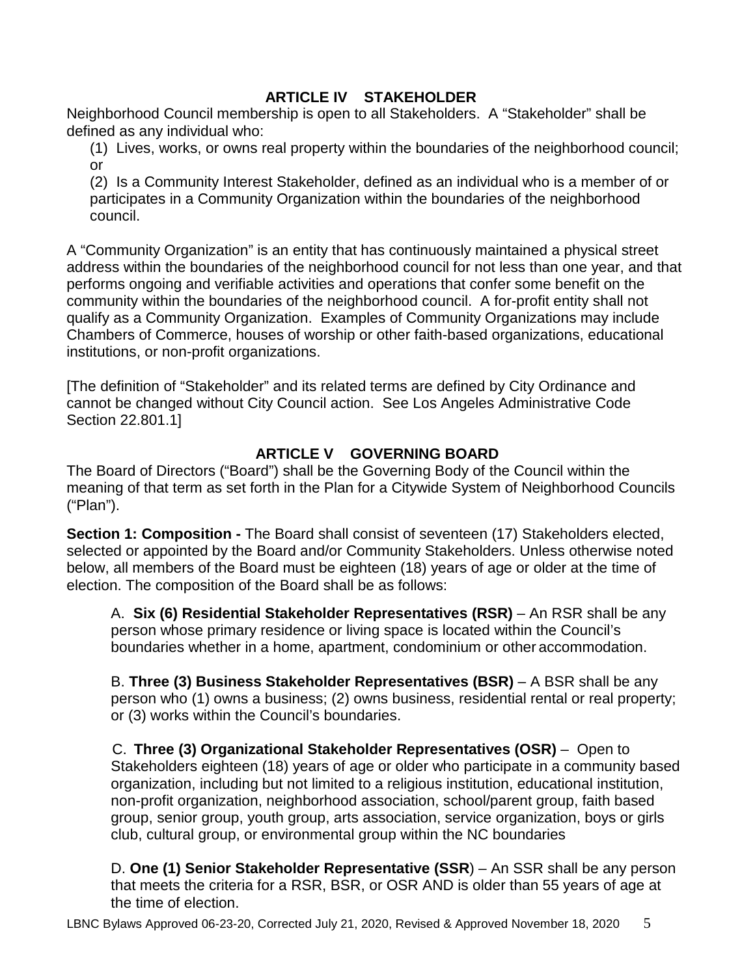## **ARTICLE IV STAKEHOLDER**

<span id="page-4-0"></span>Neighborhood Council membership is open to all Stakeholders. A "Stakeholder" shall be defined as any individual who:

(1) Lives, works, or owns real property within the boundaries of the neighborhood council; or

(2) Is a Community Interest Stakeholder, defined as an individual who is a member of or participates in a Community Organization within the boundaries of the neighborhood council.

A "Community Organization" is an entity that has continuously maintained a physical street address within the boundaries of the neighborhood council for not less than one year, and that performs ongoing and verifiable activities and operations that confer some benefit on the community within the boundaries of the neighborhood council. A for-profit entity shall not qualify as a Community Organization. Examples of Community Organizations may include Chambers of Commerce, houses of worship or other faith-based organizations, educational institutions, or non-profit organizations.

[The definition of "Stakeholder" and its related terms are defined by City Ordinance and cannot be changed without City Council action. See Los Angeles Administrative Code Section 22.801.1]

## **ARTICLE V GOVERNING BOARD**

<span id="page-4-1"></span>The Board of Directors ("Board") shall be the Governing Body of the Council within the meaning of that term as set forth in the Plan for a Citywide System of Neighborhood Councils ("Plan").

**Section 1: Composition -** The Board shall consist of seventeen (17) Stakeholders elected, selected or appointed by the Board and/or Community Stakeholders. Unless otherwise noted below, all members of the Board must be eighteen (18) years of age or older at the time of election. The composition of the Board shall be as follows:

A. **Six (6) Residential Stakeholder Representatives (RSR)** – An RSR shall be any person whose primary residence or living space is located within the Council's boundaries whether in a home, apartment, condominium or other accommodation.

B. **Three (3) Business Stakeholder Representatives (BSR)** – A BSR shall be any person who (1) owns a business; (2) owns business, residential rental or real property; or (3) works within the Council's boundaries.

C. **Three (3) Organizational Stakeholder Representatives (OSR)** – Open to Stakeholders eighteen (18) years of age or older who participate in a community based organization, including but not limited to a religious institution, educational institution, non-profit organization, neighborhood association, school/parent group, faith based group, senior group, youth group, arts association, service organization, boys or girls club, cultural group, or environmental group within the NC boundaries

D. **One (1) Senior Stakeholder Representative (SSR**) – An SSR shall be any person that meets the criteria for a RSR, BSR, or OSR AND is older than 55 years of age at the time of election.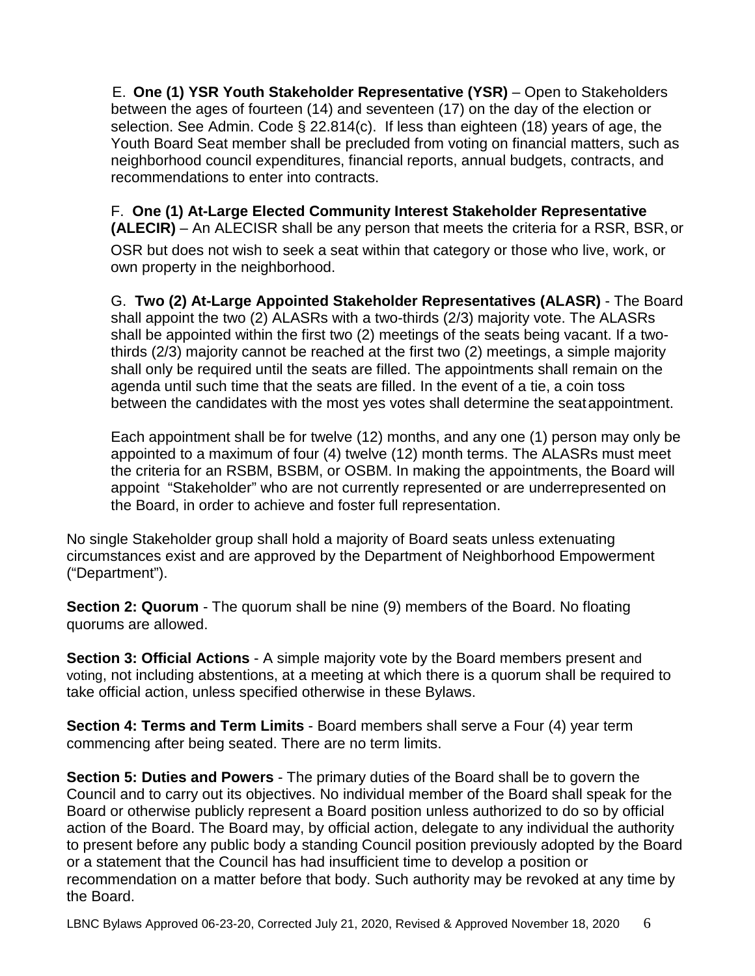E. **One (1) YSR Youth Stakeholder Representative (YSR)** – Open to Stakeholders between the ages of fourteen (14) and seventeen (17) on the day of the election or selection. See Admin. Code § 22.814(c). If less than eighteen (18) years of age, the Youth Board Seat member shall be precluded from voting on financial matters, such as neighborhood council expenditures, financial reports, annual budgets, contracts, and recommendations to enter into contracts.

F. **One (1) At-Large Elected Community Interest Stakeholder Representative (ALECIR)** – An ALECISR shall be any person that meets the criteria for a RSR, BSR, or OSR but does not wish to seek a seat within that category or those who live, work, or own property in the neighborhood.

G. **Two (2) At-Large Appointed Stakeholder Representatives (ALASR)** - The Board shall appoint the two (2) ALASRs with a two-thirds (2/3) majority vote. The ALASRs shall be appointed within the first two (2) meetings of the seats being vacant. If a twothirds (2/3) majority cannot be reached at the first two (2) meetings, a simple majority shall only be required until the seats are filled. The appointments shall remain on the agenda until such time that the seats are filled. In the event of a tie, a coin toss between the candidates with the most yes votes shall determine the seatappointment.

Each appointment shall be for twelve (12) months, and any one (1) person may only be appointed to a maximum of four (4) twelve (12) month terms. The ALASRs must meet the criteria for an RSBM, BSBM, or OSBM. In making the appointments, the Board will appoint "Stakeholder" who are not currently represented or are underrepresented on the Board, in order to achieve and foster full representation.

No single Stakeholder group shall hold a majority of Board seats unless extenuating circumstances exist and are approved by the Department of Neighborhood Empowerment ("Department").

**Section 2: Quorum** - The quorum shall be nine (9) members of the Board. No floating quorums are allowed.

**Section 3: Official Actions** - A simple majority vote by the Board members present and voting, not including abstentions, at a meeting at which there is a quorum shall be required to take official action, unless specified otherwise in these Bylaws.

**Section 4: Terms and Term Limits** - Board members shall serve a Four (4) year term commencing after being seated. There are no term limits.

**Section 5: Duties and Powers** - The primary duties of the Board shall be to govern the Council and to carry out its objectives. No individual member of the Board shall speak for the Board or otherwise publicly represent a Board position unless authorized to do so by official action of the Board. The Board may, by official action, delegate to any individual the authority to present before any public body a standing Council position previously adopted by the Board or a statement that the Council has had insufficient time to develop a position or recommendation on a matter before that body. Such authority may be revoked at any time by the Board.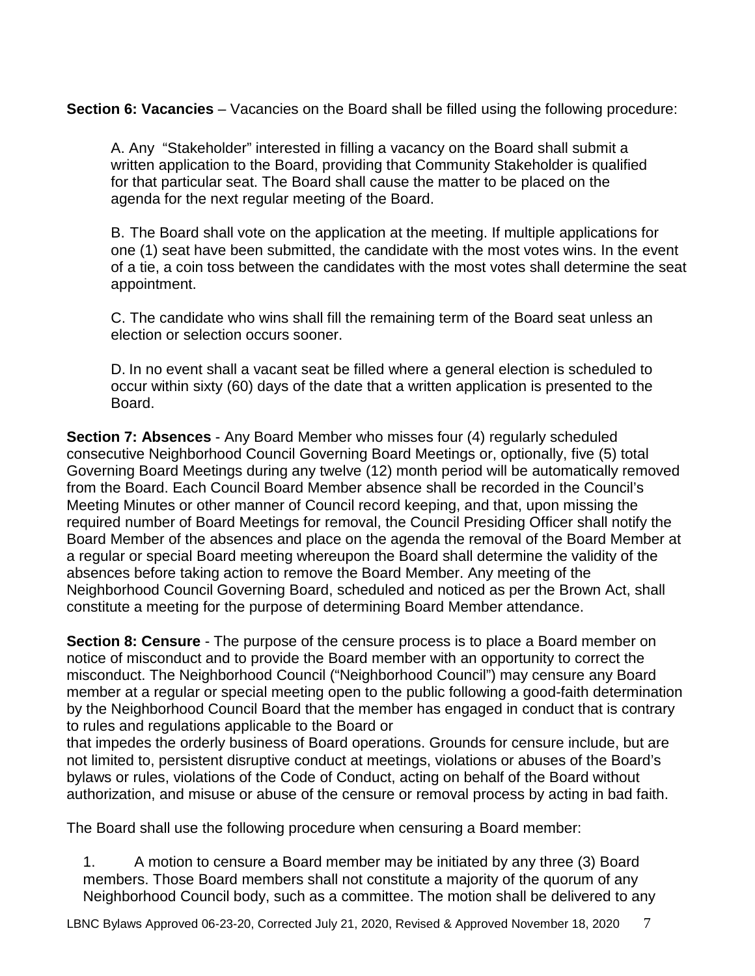**Section 6: Vacancies** – Vacancies on the Board shall be filled using the following procedure:

A. Any "Stakeholder" interested in filling a vacancy on the Board shall submit a written application to the Board, providing that Community Stakeholder is qualified for that particular seat. The Board shall cause the matter to be placed on the agenda for the next regular meeting of the Board.

B. The Board shall vote on the application at the meeting. If multiple applications for one (1) seat have been submitted, the candidate with the most votes wins. In the event of a tie, a coin toss between the candidates with the most votes shall determine the seat appointment.

C. The candidate who wins shall fill the remaining term of the Board seat unless an election or selection occurs sooner.

D. In no event shall a vacant seat be filled where a general election is scheduled to occur within sixty (60) days of the date that a written application is presented to the Board.

**Section 7: Absences** - Any Board Member who misses four (4) regularly scheduled consecutive Neighborhood Council Governing Board Meetings or, optionally, five (5) total Governing Board Meetings during any twelve (12) month period will be automatically removed from the Board. Each Council Board Member absence shall be recorded in the Council's Meeting Minutes or other manner of Council record keeping, and that, upon missing the required number of Board Meetings for removal, the Council Presiding Officer shall notify the Board Member of the absences and place on the agenda the removal of the Board Member at a regular or special Board meeting whereupon the Board shall determine the validity of the absences before taking action to remove the Board Member. Any meeting of the Neighborhood Council Governing Board, scheduled and noticed as per the Brown Act, shall constitute a meeting for the purpose of determining Board Member attendance.

**Section 8: Censure** - The purpose of the censure process is to place a Board member on notice of misconduct and to provide the Board member with an opportunity to correct the misconduct. The Neighborhood Council ("Neighborhood Council") may censure any Board member at a regular or special meeting open to the public following a good-faith determination by the Neighborhood Council Board that the member has engaged in conduct that is contrary to rules and regulations applicable to the Board or

that impedes the orderly business of Board operations. Grounds for censure include, but are not limited to, persistent disruptive conduct at meetings, violations or abuses of the Board's bylaws or rules, violations of the Code of Conduct, acting on behalf of the Board without authorization, and misuse or abuse of the censure or removal process by acting in bad faith.

The Board shall use the following procedure when censuring a Board member:

1. A motion to censure a Board member may be initiated by any three (3) Board members. Those Board members shall not constitute a majority of the quorum of any Neighborhood Council body, such as a committee. The motion shall be delivered to any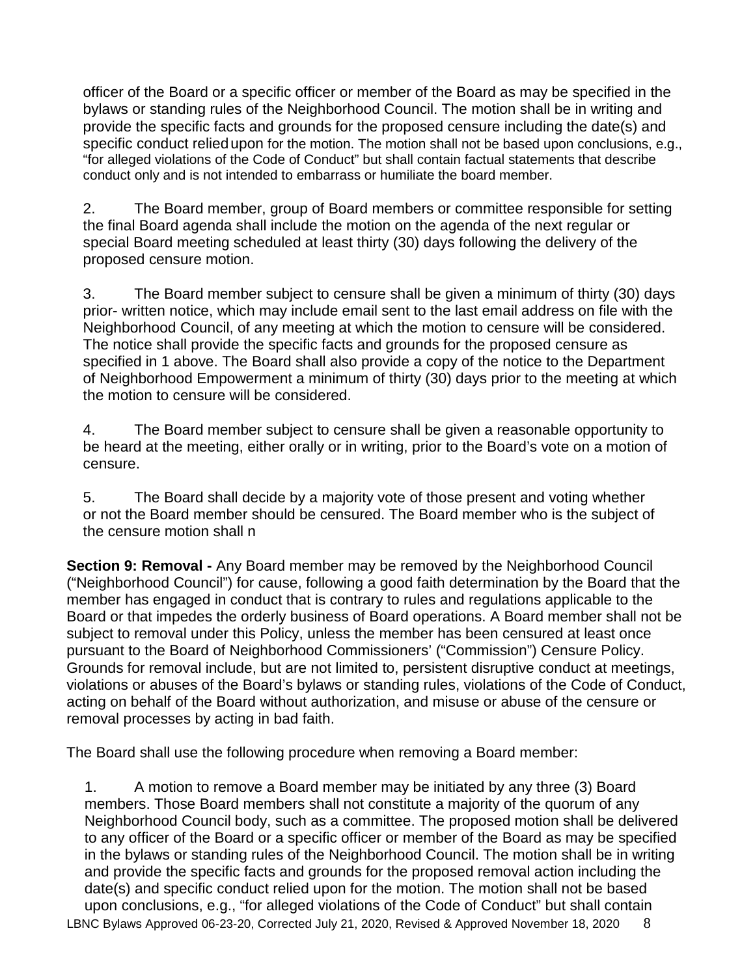officer of the Board or a specific officer or member of the Board as may be specified in the bylaws or standing rules of the Neighborhood Council. The motion shall be in writing and provide the specific facts and grounds for the proposed censure including the date(s) and specific conduct reliedupon for the motion. The motion shall not be based upon conclusions, e.g., "for alleged violations of the Code of Conduct" but shall contain factual statements that describe conduct only and is not intended to embarrass or humiliate the board member.

2. The Board member, group of Board members or committee responsible for setting the final Board agenda shall include the motion on the agenda of the next regular or special Board meeting scheduled at least thirty (30) days following the delivery of the proposed censure motion.

3. The Board member subject to censure shall be given a minimum of thirty (30) days prior- written notice, which may include email sent to the last email address on file with the Neighborhood Council, of any meeting at which the motion to censure will be considered. The notice shall provide the specific facts and grounds for the proposed censure as specified in 1 above. The Board shall also provide a copy of the notice to the Department of Neighborhood Empowerment a minimum of thirty (30) days prior to the meeting at which the motion to censure will be considered.

4. The Board member subject to censure shall be given a reasonable opportunity to be heard at the meeting, either orally or in writing, prior to the Board's vote on a motion of censure.

5. The Board shall decide by a majority vote of those present and voting whether or not the Board member should be censured. The Board member who is the subject of the censure motion shall n

**Section 9: Removal -** Any Board member may be removed by the Neighborhood Council ("Neighborhood Council") for cause, following a good faith determination by the Board that the member has engaged in conduct that is contrary to rules and regulations applicable to the Board or that impedes the orderly business of Board operations. A Board member shall not be subject to removal under this Policy, unless the member has been censured at least once pursuant to the Board of Neighborhood Commissioners' ("Commission") Censure Policy. Grounds for removal include, but are not limited to, persistent disruptive conduct at meetings, violations or abuses of the Board's bylaws or standing rules, violations of the Code of Conduct, acting on behalf of the Board without authorization, and misuse or abuse of the censure or removal processes by acting in bad faith.

The Board shall use the following procedure when removing a Board member:

LBNC Bylaws Approved 06-23-20, Corrected July 21, 2020, Revised & Approved November 18, 2020 8 1. A motion to remove a Board member may be initiated by any three (3) Board members. Those Board members shall not constitute a majority of the quorum of any Neighborhood Council body, such as a committee. The proposed motion shall be delivered to any officer of the Board or a specific officer or member of the Board as may be specified in the bylaws or standing rules of the Neighborhood Council. The motion shall be in writing and provide the specific facts and grounds for the proposed removal action including the date(s) and specific conduct relied upon for the motion. The motion shall not be based upon conclusions, e.g., "for alleged violations of the Code of Conduct" but shall contain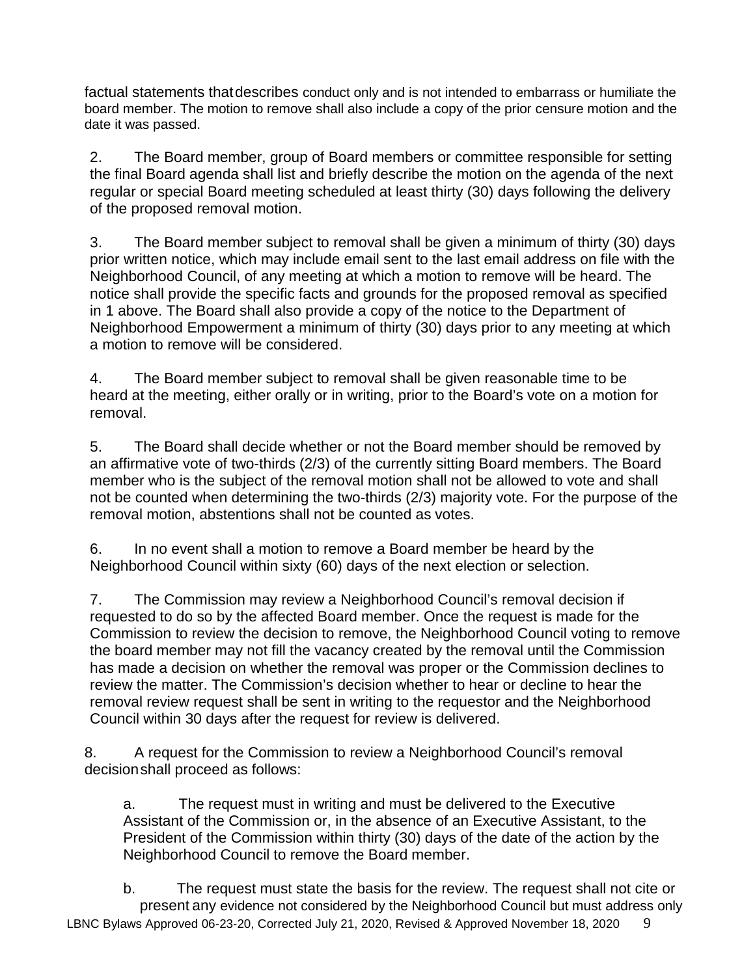factual statements thatdescribes conduct only and is not intended to embarrass or humiliate the board member. The motion to remove shall also include a copy of the prior censure motion and the date it was passed.

2. The Board member, group of Board members or committee responsible for setting the final Board agenda shall list and briefly describe the motion on the agenda of the next regular or special Board meeting scheduled at least thirty (30) days following the delivery of the proposed removal motion.

3. The Board member subject to removal shall be given a minimum of thirty (30) days prior written notice, which may include email sent to the last email address on file with the Neighborhood Council, of any meeting at which a motion to remove will be heard. The notice shall provide the specific facts and grounds for the proposed removal as specified in 1 above. The Board shall also provide a copy of the notice to the Department of Neighborhood Empowerment a minimum of thirty (30) days prior to any meeting at which a motion to remove will be considered.

4. The Board member subject to removal shall be given reasonable time to be heard at the meeting, either orally or in writing, prior to the Board's vote on a motion for removal.

5. The Board shall decide whether or not the Board member should be removed by an affirmative vote of two-thirds (2/3) of the currently sitting Board members. The Board member who is the subject of the removal motion shall not be allowed to vote and shall not be counted when determining the two-thirds (2/3) majority vote. For the purpose of the removal motion, abstentions shall not be counted as votes.

6. In no event shall a motion to remove a Board member be heard by the Neighborhood Council within sixty (60) days of the next election or selection.

7. The Commission may review a Neighborhood Council's removal decision if requested to do so by the affected Board member. Once the request is made for the Commission to review the decision to remove, the Neighborhood Council voting to remove the board member may not fill the vacancy created by the removal until the Commission has made a decision on whether the removal was proper or the Commission declines to review the matter. The Commission's decision whether to hear or decline to hear the removal review request shall be sent in writing to the requestor and the Neighborhood Council within 30 days after the request for review is delivered.

8. A request for the Commission to review a Neighborhood Council's removal decisionshall proceed as follows:

a. The request must in writing and must be delivered to the Executive Assistant of the Commission or, in the absence of an Executive Assistant, to the President of the Commission within thirty (30) days of the date of the action by the Neighborhood Council to remove the Board member.

LBNC Bylaws Approved 06-23-20, Corrected July 21, 2020, Revised & Approved November 18, 2020  $\frac{9}{9}$ b. The request must state the basis for the review. The request shall not cite or present any evidence not considered by the Neighborhood Council but must address only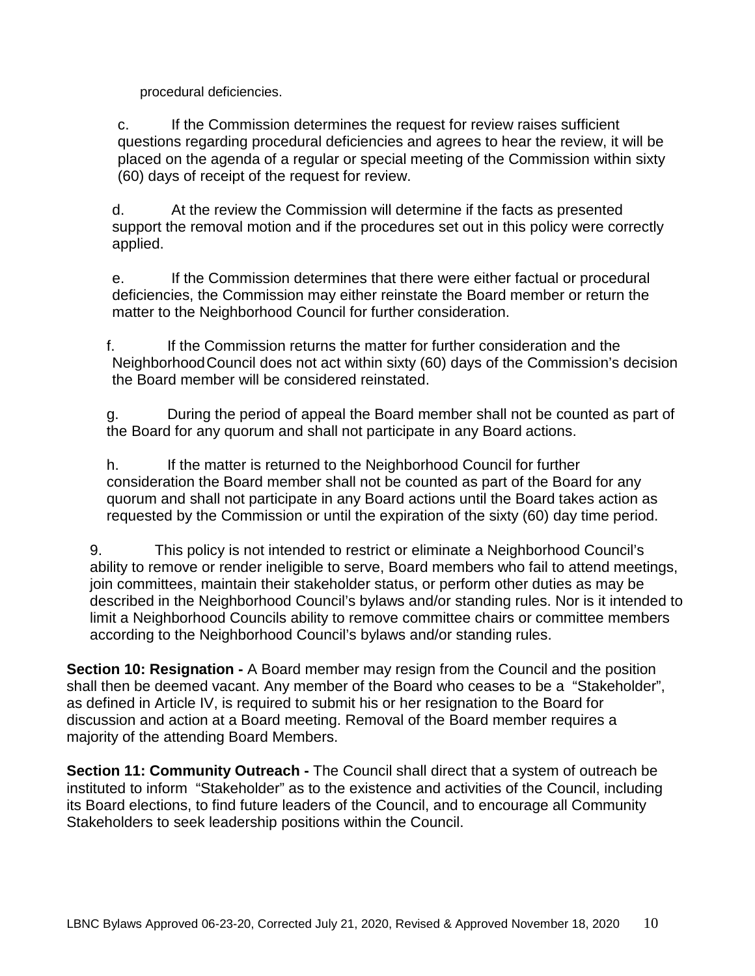procedural deficiencies.

c. If the Commission determines the request for review raises sufficient questions regarding procedural deficiencies and agrees to hear the review, it will be placed on the agenda of a regular or special meeting of the Commission within sixty (60) days of receipt of the request for review.

d. At the review the Commission will determine if the facts as presented support the removal motion and if the procedures set out in this policy were correctly applied.

e. If the Commission determines that there were either factual or procedural deficiencies, the Commission may either reinstate the Board member or return the matter to the Neighborhood Council for further consideration.

f. If the Commission returns the matter for further consideration and the NeighborhoodCouncil does not act within sixty (60) days of the Commission's decision the Board member will be considered reinstated.

g. During the period of appeal the Board member shall not be counted as part of the Board for any quorum and shall not participate in any Board actions.

h. If the matter is returned to the Neighborhood Council for further consideration the Board member shall not be counted as part of the Board for any quorum and shall not participate in any Board actions until the Board takes action as requested by the Commission or until the expiration of the sixty (60) day time period.

9. This policy is not intended to restrict or eliminate a Neighborhood Council's ability to remove or render ineligible to serve, Board members who fail to attend meetings, join committees, maintain their stakeholder status, or perform other duties as may be described in the Neighborhood Council's bylaws and/or standing rules. Nor is it intended to limit a Neighborhood Councils ability to remove committee chairs or committee members according to the Neighborhood Council's bylaws and/or standing rules.

**Section 10: Resignation -** A Board member may resign from the Council and the position shall then be deemed vacant. Any member of the Board who ceases to be a "Stakeholder", as defined in Article IV, is required to submit his or her resignation to the Board for discussion and action at a Board meeting. Removal of the Board member requires a majority of the attending Board Members.

**Section 11: Community Outreach -** The Council shall direct that a system of outreach be instituted to inform "Stakeholder" as to the existence and activities of the Council, including its Board elections, to find future leaders of the Council, and to encourage all Community Stakeholders to seek leadership positions within the Council.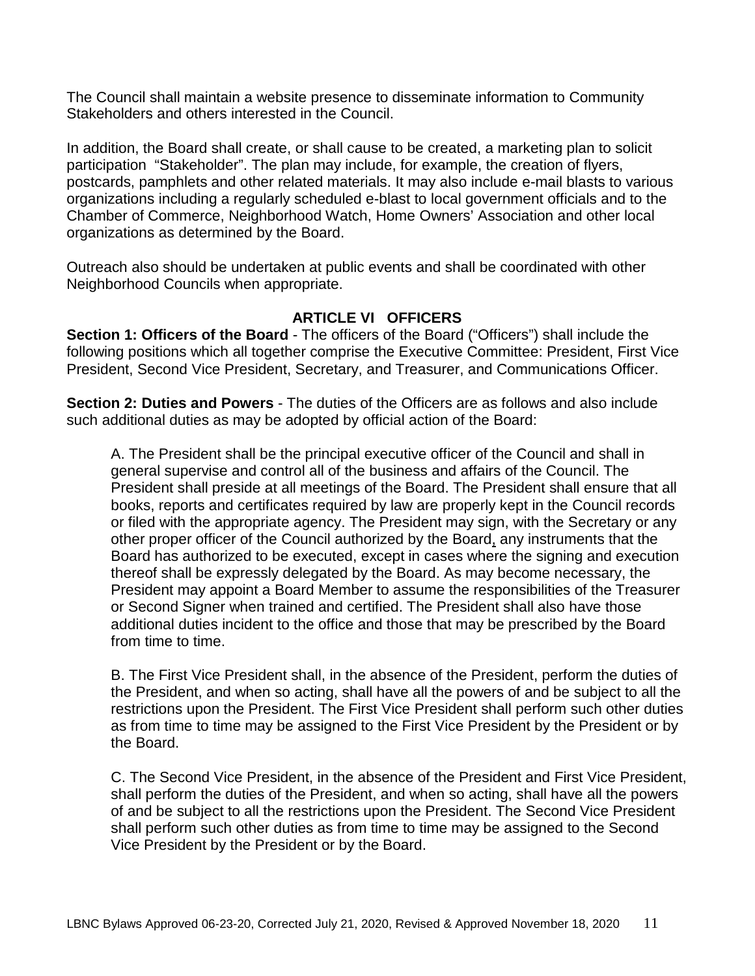The Council shall maintain a website presence to disseminate information to Community Stakeholders and others interested in the Council.

In addition, the Board shall create, or shall cause to be created, a marketing plan to solicit participation "Stakeholder". The plan may include, for example, the creation of flyers, postcards, pamphlets and other related materials. It may also include e-mail blasts to various organizations including a regularly scheduled e-blast to local government officials and to the Chamber of Commerce, Neighborhood Watch, Home Owners' Association and other local organizations as determined by the Board.

Outreach also should be undertaken at public events and shall be coordinated with other Neighborhood Councils when appropriate.

### **ARTICLE VI OFFICERS**

**Section 1: Officers of the Board** - The officers of the Board ("Officers") shall include the following positions which all together comprise the Executive Committee: President, First Vice President, Second Vice President, Secretary, and Treasurer, and Communications Officer.

**Section 2: Duties and Powers** - The duties of the Officers are as follows and also include such additional duties as may be adopted by official action of the Board:

A. The President shall be the principal executive officer of the Council and shall in general supervise and control all of the business and affairs of the Council. The President shall preside at all meetings of the Board. The President shall ensure that all books, reports and certificates required by law are properly kept in the Council records or filed with the appropriate agency. The President may sign, with the Secretary or any other proper officer of the Council authorized by the Board, any instruments that the Board has authorized to be executed, except in cases where the signing and execution thereof shall be expressly delegated by the Board. As may become necessary, the President may appoint a Board Member to assume the responsibilities of the Treasurer or Second Signer when trained and certified. The President shall also have those additional duties incident to the office and those that may be prescribed by the Board from time to time.

B. The First Vice President shall, in the absence of the President, perform the duties of the President, and when so acting, shall have all the powers of and be subject to all the restrictions upon the President. The First Vice President shall perform such other duties as from time to time may be assigned to the First Vice President by the President or by the Board.

C. The Second Vice President, in the absence of the President and First Vice President, shall perform the duties of the President, and when so acting, shall have all the powers of and be subject to all the restrictions upon the President. The Second Vice President shall perform such other duties as from time to time may be assigned to the Second Vice President by the President or by the Board.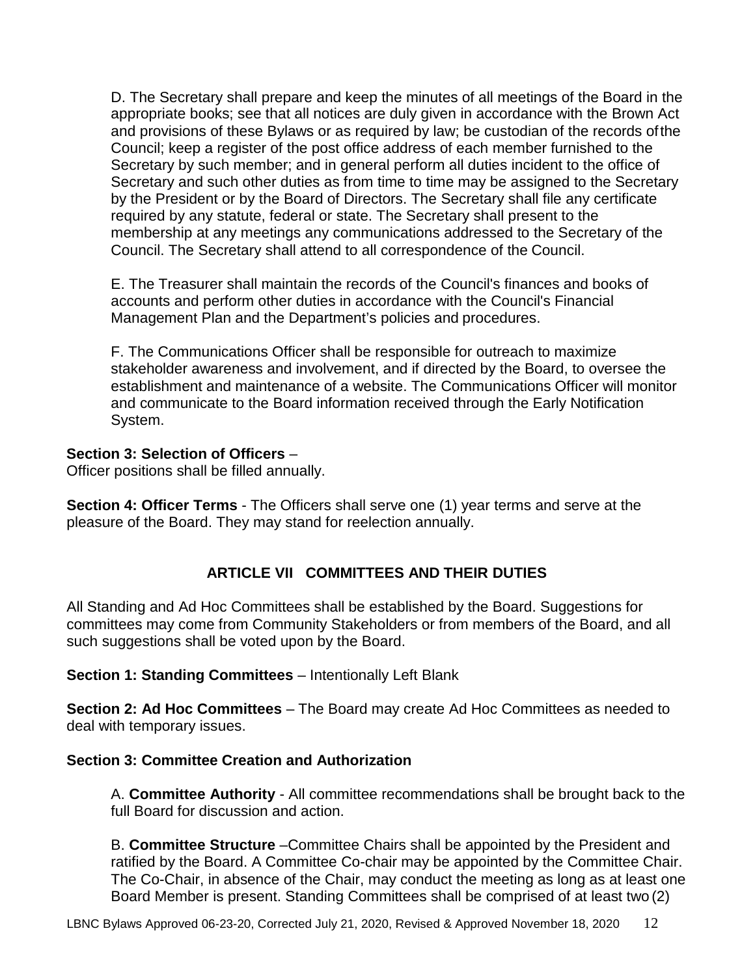D. The Secretary shall prepare and keep the minutes of all meetings of the Board in the appropriate books; see that all notices are duly given in accordance with the Brown Act and provisions of these Bylaws or as required by law; be custodian of the records ofthe Council; keep a register of the post office address of each member furnished to the Secretary by such member; and in general perform all duties incident to the office of Secretary and such other duties as from time to time may be assigned to the Secretary by the President or by the Board of Directors. The Secretary shall file any certificate required by any statute, federal or state. The Secretary shall present to the membership at any meetings any communications addressed to the Secretary of the Council. The Secretary shall attend to all correspondence of the Council.

E. The Treasurer shall maintain the records of the Council's finances and books of accounts and perform other duties in accordance with the Council's Financial Management Plan and the Department's policies and procedures.

F. The Communications Officer shall be responsible for outreach to maximize stakeholder awareness and involvement, and if directed by the Board, to oversee the establishment and maintenance of a website. The Communications Officer will monitor and communicate to the Board information received through the Early Notification System.

## **Section 3: Selection of Officers** –

Officer positions shall be filled annually.

**Section 4: Officer Terms** - The Officers shall serve one (1) year terms and serve at the pleasure of the Board. They may stand for reelection annually.

## **ARTICLE VII COMMITTEES AND THEIR DUTIES**

All Standing and Ad Hoc Committees shall be established by the Board. Suggestions for committees may come from Community Stakeholders or from members of the Board, and all such suggestions shall be voted upon by the Board.

**Section 1: Standing Committees** – Intentionally Left Blank

**Section 2: Ad Hoc Committees** – The Board may create Ad Hoc Committees as needed to deal with temporary issues.

## **Section 3: Committee Creation and Authorization**

A. **Committee Authority** - All committee recommendations shall be brought back to the full Board for discussion and action.

B. **Committee Structure** –Committee Chairs shall be appointed by the President and ratified by the Board. A Committee Co-chair may be appointed by the Committee Chair. The Co-Chair, in absence of the Chair, may conduct the meeting as long as at least one Board Member is present. Standing Committees shall be comprised of at least two (2)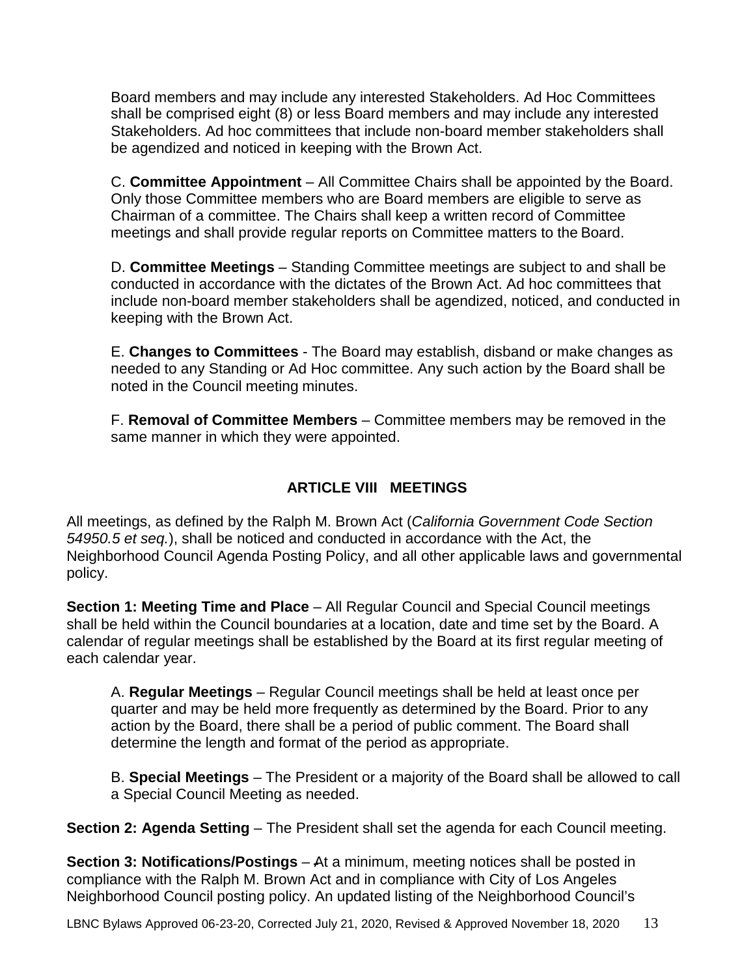Board members and may include any interested Stakeholders. Ad Hoc Committees shall be comprised eight (8) or less Board members and may include any interested Stakeholders. Ad hoc committees that include non-board member stakeholders shall be agendized and noticed in keeping with the Brown Act.

C. **Committee Appointment** – All Committee Chairs shall be appointed by the Board. Only those Committee members who are Board members are eligible to serve as Chairman of a committee. The Chairs shall keep a written record of Committee meetings and shall provide regular reports on Committee matters to the Board.

D. **Committee Meetings** – Standing Committee meetings are subject to and shall be conducted in accordance with the dictates of the Brown Act. Ad hoc committees that include non-board member stakeholders shall be agendized, noticed, and conducted in keeping with the Brown Act.

E. **Changes to Committees** - The Board may establish, disband or make changes as needed to any Standing or Ad Hoc committee. Any such action by the Board shall be noted in the Council meeting minutes.

F. **Removal of Committee Members** – Committee members may be removed in the same manner in which they were appointed.

## **ARTICLE VIII MEETINGS**

All meetings, as defined by the Ralph M. Brown Act (*California Government Code Section 54950.5 et seq.*), shall be noticed and conducted in accordance with the Act, the Neighborhood Council Agenda Posting Policy, and all other applicable laws and governmental policy.

**Section 1: Meeting Time and Place** – All Regular Council and Special Council meetings shall be held within the Council boundaries at a location, date and time set by the Board. A calendar of regular meetings shall be established by the Board at its first regular meeting of each calendar year.

A. **Regular Meetings** – Regular Council meetings shall be held at least once per quarter and may be held more frequently as determined by the Board. Prior to any action by the Board, there shall be a period of public comment. The Board shall determine the length and format of the period as appropriate.

B. **Special Meetings** – The President or a majority of the Board shall be allowed to call a Special Council Meeting as needed.

**Section 2: Agenda Setting** – The President shall set the agenda for each Council meeting.

**Section 3: Notifications/Postings** – At a minimum, meeting notices shall be posted in compliance with the Ralph M. Brown Act and in compliance with City of Los Angeles Neighborhood Council posting policy. An updated listing of the Neighborhood Council's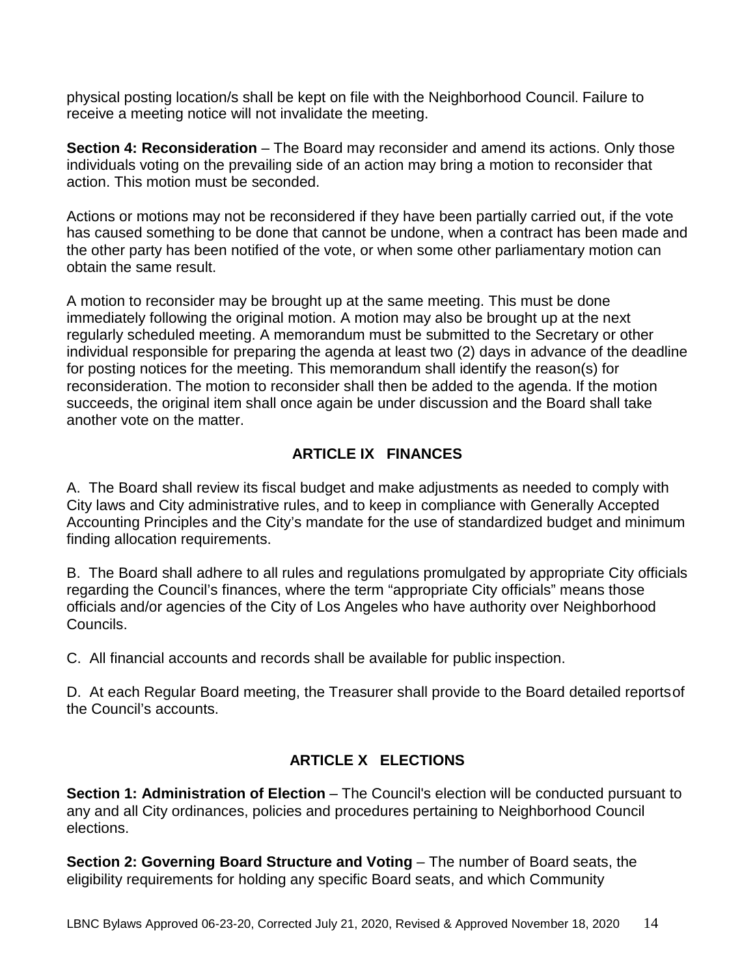physical posting location/s shall be kept on file with the Neighborhood Council. Failure to receive a meeting notice will not invalidate the meeting.

**Section 4: Reconsideration** – The Board may reconsider and amend its actions. Only those individuals voting on the prevailing side of an action may bring a motion to reconsider that action. This motion must be seconded.

Actions or motions may not be reconsidered if they have been partially carried out, if the vote has caused something to be done that cannot be undone, when a contract has been made and the other party has been notified of the vote, or when some other parliamentary motion can obtain the same result.

A motion to reconsider may be brought up at the same meeting. This must be done immediately following the original motion. A motion may also be brought up at the next regularly scheduled meeting. A memorandum must be submitted to the Secretary or other individual responsible for preparing the agenda at least two (2) days in advance of the deadline for posting notices for the meeting. This memorandum shall identify the reason(s) for reconsideration. The motion to reconsider shall then be added to the agenda. If the motion succeeds, the original item shall once again be under discussion and the Board shall take another vote on the matter.

## **ARTICLE IX FINANCES**

A. The Board shall review its fiscal budget and make adjustments as needed to comply with City laws and City administrative rules, and to keep in compliance with Generally Accepted Accounting Principles and the City's mandate for the use of standardized budget and minimum finding allocation requirements.

B. The Board shall adhere to all rules and regulations promulgated by appropriate City officials regarding the Council's finances, where the term "appropriate City officials" means those officials and/or agencies of the City of Los Angeles who have authority over Neighborhood Councils.

C. All financial accounts and records shall be available for public inspection.

D. At each Regular Board meeting, the Treasurer shall provide to the Board detailed reportsof the Council's accounts.

## **ARTICLE X ELECTIONS**

**Section 1: Administration of Election** – The Council's election will be conducted pursuant to any and all City ordinances, policies and procedures pertaining to Neighborhood Council elections.

**Section 2: Governing Board Structure and Voting – The number of Board seats, the** eligibility requirements for holding any specific Board seats, and which Community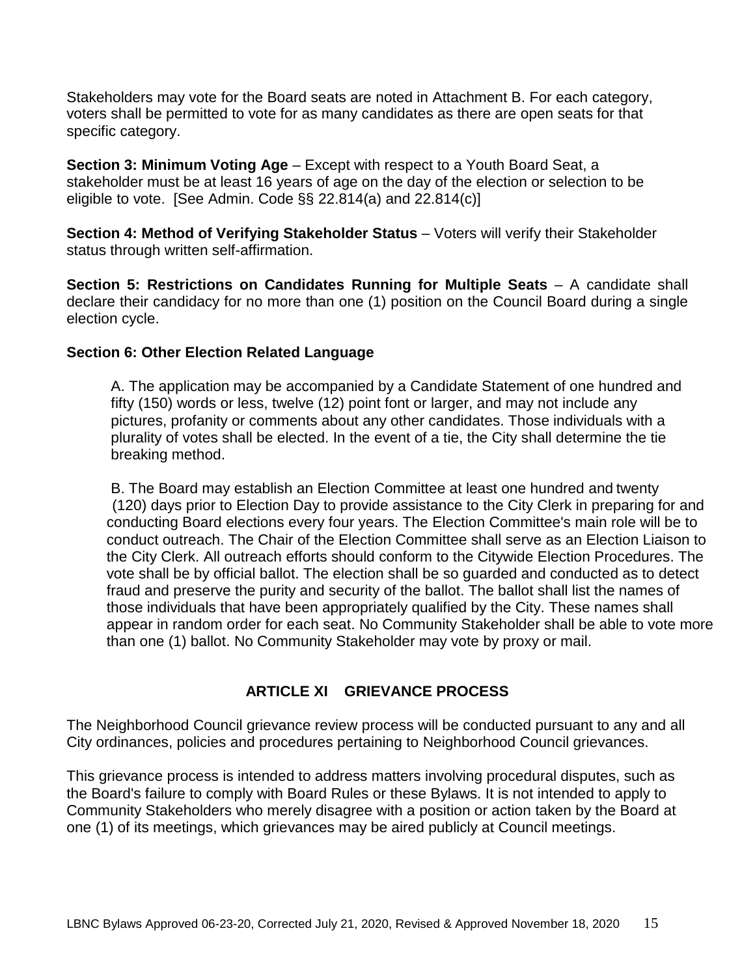Stakeholders may vote for the Board seats are noted in Attachment B. For each category, voters shall be permitted to vote for as many candidates as there are open seats for that specific category.

**Section 3: Minimum Voting Age** – Except with respect to a Youth Board Seat, a stakeholder must be at least 16 years of age on the day of the election or selection to be eligible to vote. [See Admin. Code  $\S$ § 22.814(a) and 22.814(c)]

**Section 4: Method of Verifying Stakeholder Status** - Voters will verify their Stakeholder status through written self-affirmation.

**Section 5: Restrictions on Candidates Running for Multiple Seats – A candidate shall** declare their candidacy for no more than one (1) position on the Council Board during a single election cycle.

### **Section 6: Other Election Related Language**

A. The application may be accompanied by a Candidate Statement of one hundred and fifty (150) words or less, twelve (12) point font or larger, and may not include any pictures, profanity or comments about any other candidates. Those individuals with a plurality of votes shall be elected. In the event of a tie, the City shall determine the tie breaking method.

B. The Board may establish an Election Committee at least one hundred and twenty (120) days prior to Election Day to provide assistance to the City Clerk in preparing for and conducting Board elections every four years. The Election Committee's main role will be to conduct outreach. The Chair of the Election Committee shall serve as an Election Liaison to the City Clerk. All outreach efforts should conform to the Citywide Election Procedures. The vote shall be by official ballot. The election shall be so guarded and conducted as to detect fraud and preserve the purity and security of the ballot. The ballot shall list the names of those individuals that have been appropriately qualified by the City. These names shall appear in random order for each seat. No Community Stakeholder shall be able to vote more than one (1) ballot. No Community Stakeholder may vote by proxy or mail.

## **ARTICLE XI GRIEVANCE PROCESS**

The Neighborhood Council grievance review process will be conducted pursuant to any and all City ordinances, policies and procedures pertaining to Neighborhood Council grievances.

This grievance process is intended to address matters involving procedural disputes, such as the Board's failure to comply with Board Rules or these Bylaws. It is not intended to apply to Community Stakeholders who merely disagree with a position or action taken by the Board at one (1) of its meetings, which grievances may be aired publicly at Council meetings.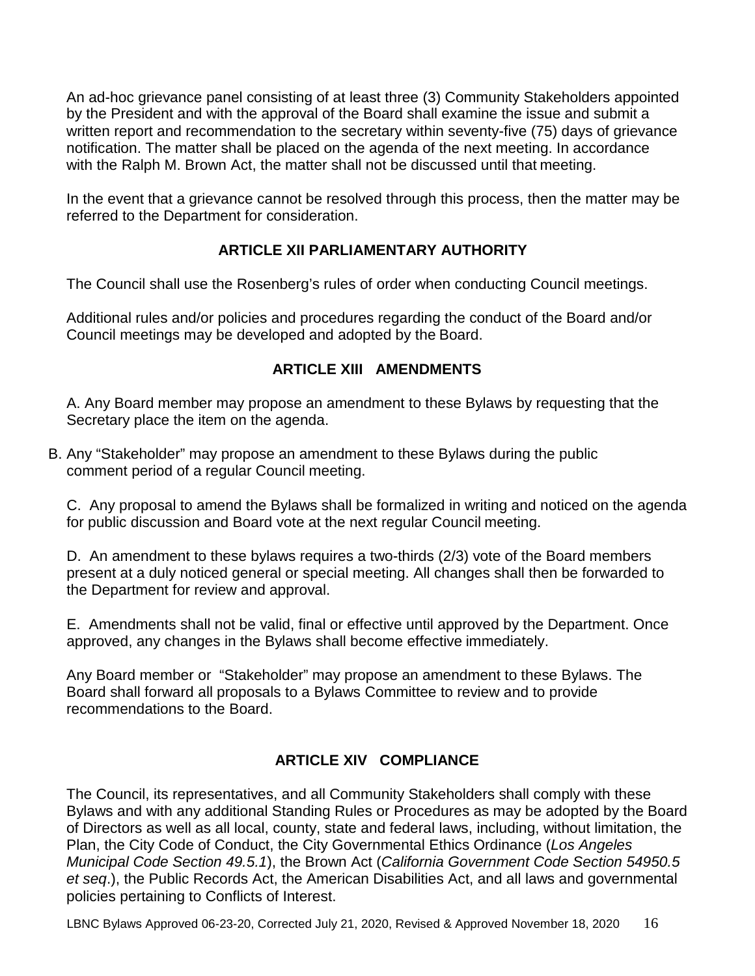An ad-hoc grievance panel consisting of at least three (3) Community Stakeholders appointed by the President and with the approval of the Board shall examine the issue and submit a written report and recommendation to the secretary within seventy-five (75) days of grievance notification. The matter shall be placed on the agenda of the next meeting. In accordance with the Ralph M. Brown Act, the matter shall not be discussed until that meeting.

In the event that a grievance cannot be resolved through this process, then the matter may be referred to the Department for consideration.

## **ARTICLE XII PARLIAMENTARY AUTHORITY**

The Council shall use the Rosenberg's rules of order when conducting Council meetings.

Additional rules and/or policies and procedures regarding the conduct of the Board and/or Council meetings may be developed and adopted by the Board.

## **ARTICLE XIII AMENDMENTS**

A. Any Board member may propose an amendment to these Bylaws by requesting that the Secretary place the item on the agenda.

B. Any "Stakeholder" may propose an amendment to these Bylaws during the public comment period of a regular Council meeting.

C. Any proposal to amend the Bylaws shall be formalized in writing and noticed on the agenda for public discussion and Board vote at the next regular Council meeting.

D. An amendment to these bylaws requires a two-thirds (2/3) vote of the Board members present at a duly noticed general or special meeting. All changes shall then be forwarded to the Department for review and approval.

E. Amendments shall not be valid, final or effective until approved by the Department. Once approved, any changes in the Bylaws shall become effective immediately.

Any Board member or "Stakeholder" may propose an amendment to these Bylaws. The Board shall forward all proposals to a Bylaws Committee to review and to provide recommendations to the Board.

## **ARTICLE XIV COMPLIANCE**

The Council, its representatives, and all Community Stakeholders shall comply with these Bylaws and with any additional Standing Rules or Procedures as may be adopted by the Board of Directors as well as all local, county, state and federal laws, including, without limitation, the Plan, the City Code of Conduct, the City Governmental Ethics Ordinance (*Los Angeles Municipal Code Section 49.5.1*), the Brown Act (*California Government Code Section 54950.5 et seq*.), the Public Records Act, the American Disabilities Act, and all laws and governmental policies pertaining to Conflicts of Interest.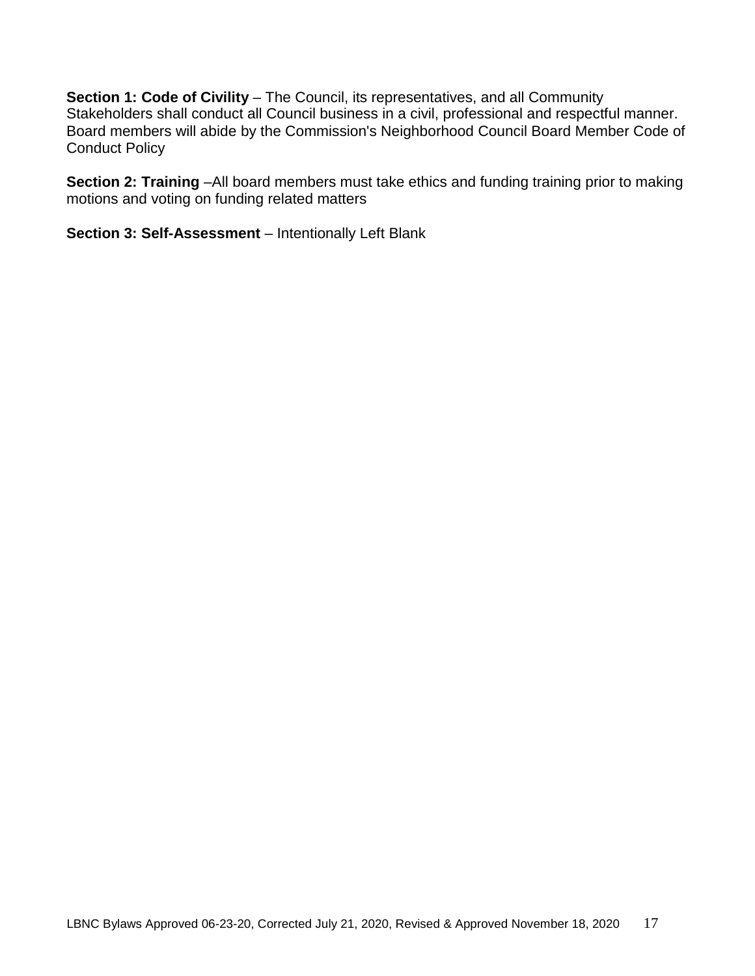**Section 1: Code of Civility - The Council, its representatives, and all Community** Stakeholders shall conduct all Council business in a civil, professional and respectful manner. Board members will abide by the Commission's Neighborhood Council Board Member Code of Conduct Policy

**Section 2: Training** –All board members must take ethics and funding training prior to making motions and voting on funding related matters

**Section 3: Self-Assessment** – Intentionally Left Blank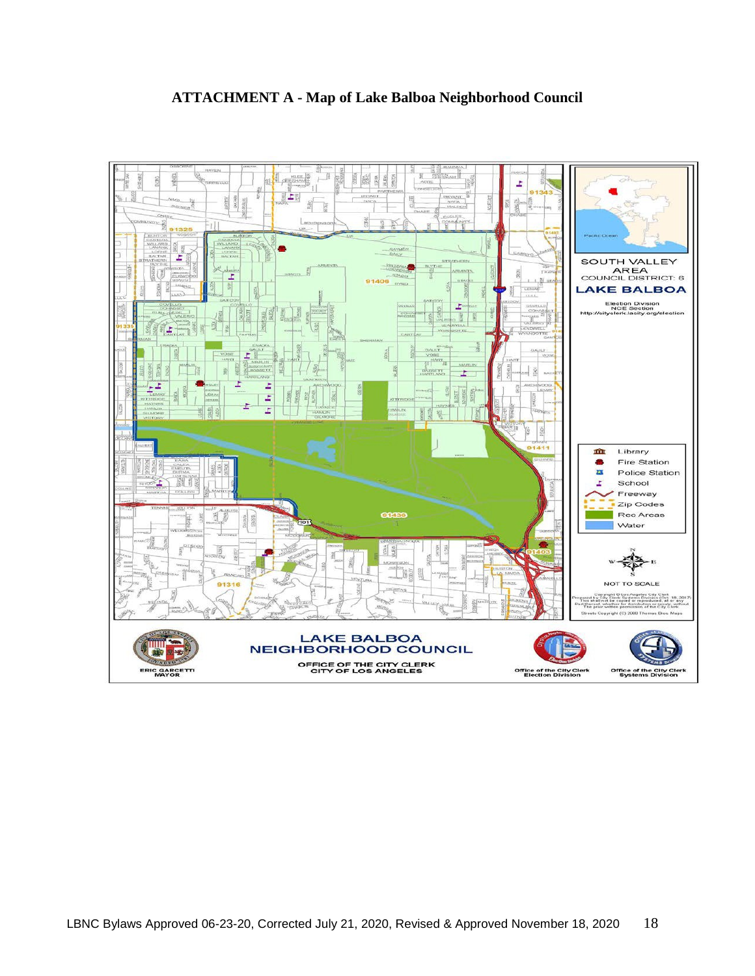

## **ATTACHMENT A - Map of Lake Balboa Neighborhood Council**